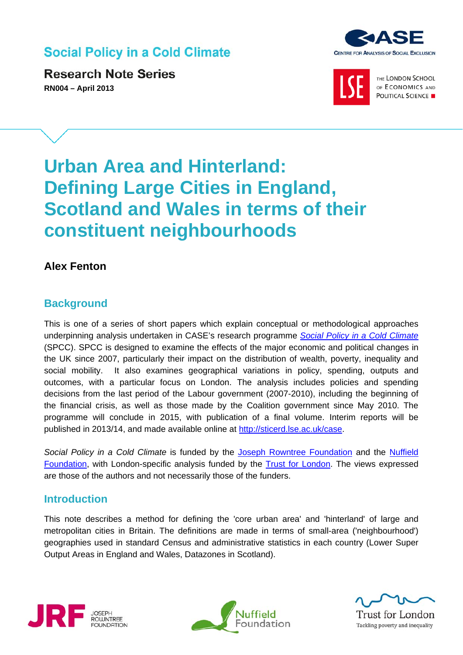## **Social Policy in a Cold Climate**

**Research Note Series RN004 – April 2013** 





THE LONDON SCHOOL OF ECONOMICS AND POLITICAL SCIENCE

# **Urban Area and Hinterland: Defining Large Cities in England, Scotland and Wales in terms of their constituent neighbourhoods**

## **Alex Fenton**

## **Background**

This is one of a series of short papers which explain conceptual or methodological approaches underpinning analysis undertaken in CASE's research programme *[Social Policy in a Cold Climate](http://sticerd.lse.ac.uk/case/_new/research/Social_Policy_in_a_Cold_Climate.asp)* (SPCC). SPCC is designed to examine the effects of the major economic and political changes in the UK since 2007, particularly their impact on the distribution of wealth, poverty, inequality and social mobility. It also examines geographical variations in policy, spending, outputs and outcomes, with a particular focus on London. The analysis includes policies and spending decisions from the last period of the Labour government (2007-2010), including the beginning of the financial crisis, as well as those made by the Coalition government since May 2010. The programme will conclude in 2015, with publication of a final volume. Interim reports will be published in 2013/14, and made available online at http://sticerd.lse.ac.uk/case.

*Social Policy in a Cold Climate* is funded by the [Joseph Rowntree Foundation](http://www.jrf.org.uk/) and the [Nuffield](http://www.nuffieldfoundation.org/) [Foundation,](http://www.nuffieldfoundation.org/) with London-specific analysis funded by the [Trust for London.](http://www.trustforlondon.org.uk/) The views expressed are those of the authors and not necessarily those of the funders.

### **Introduction**

This note describes a method for defining the 'core urban area' and 'hinterland' of large and metropolitan cities in Britain. The definitions are made in terms of small-area ('neighbourhood') geographies used in standard Census and administrative statistics in each country (Lower Super Output Areas in England and Wales, Datazones in Scotland).







Trust for London Tackling poverty and inequality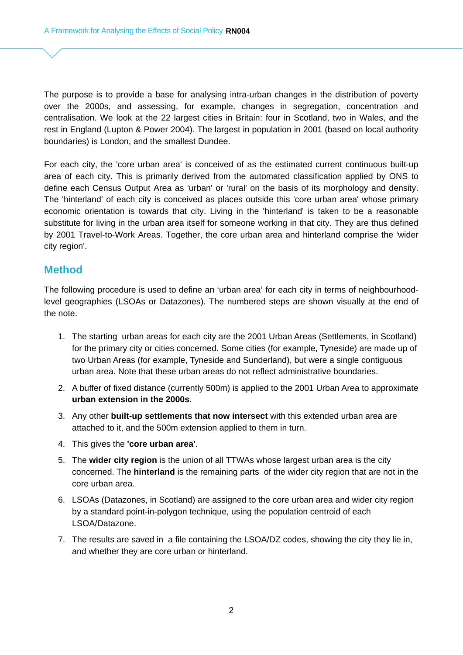The purpose is to provide a base for analysing intra-urban changes in the distribution of poverty over the 2000s, and assessing, for example, changes in segregation, concentration and centralisation. We look at the 22 largest cities in Britain: four in Scotland, two in Wales, and the rest in England (Lupton & Power 2004). The largest in population in 2001 (based on local authority boundaries) is London, and the smallest Dundee.

For each city, the 'core urban area' is conceived of as the estimated current continuous built-up area of each city. This is primarily derived from the automated classification applied by ONS to define each Census Output Area as 'urban' or 'rural' on the basis of its morphology and density. The 'hinterland' of each city is conceived as places outside this 'core urban area' whose primary economic orientation is towards that city. Living in the 'hinterland' is taken to be a reasonable substitute for living in the urban area itself for someone working in that city. They are thus defined by 2001 Travel-to-Work Areas. Together, the core urban area and hinterland comprise the 'wider city region'.

#### **Method**

The following procedure is used to define an 'urban area' for each city in terms of neighbourhoodlevel geographies (LSOAs or Datazones). The numbered steps are shown visually at the end of the note.

- 1. The starting urban areas for each city are the 2001 Urban Areas (Settlements, in Scotland) for the primary city or cities concerned. Some cities (for example, Tyneside) are made up of two Urban Areas (for example, Tyneside and Sunderland), but were a single contiguous urban area. Note that these urban areas do not reflect administrative boundaries.
- 2. A buffer of fixed distance (currently 500m) is applied to the 2001 Urban Area to approximate **urban extension in the 2000s**.
- 3. Any other **built-up settlements that now intersect** with this extended urban area are attached to it, and the 500m extension applied to them in turn.
- 4. This gives the **'core urban area'**.
- 5. The **wider city region** is the union of all TTWAs whose largest urban area is the city concerned. The **hinterland** is the remaining parts of the wider city region that are not in the core urban area.
- 6. LSOAs (Datazones, in Scotland) are assigned to the core urban area and wider city region by a standard point-in-polygon technique, using the population centroid of each LSOA/Datazone.
- 7. The results are saved in a file containing the LSOA/DZ codes, showing the city they lie in, and whether they are core urban or hinterland.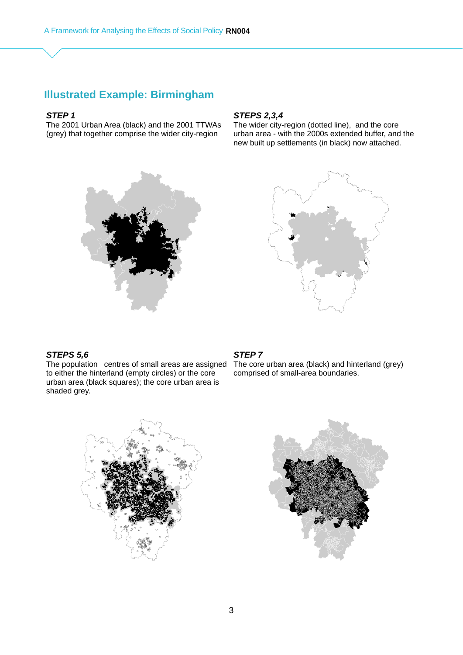## **Illustrated Example: Birmingham**

#### *STEP 1*

The 2001 Urban Area (black) and the 2001 TTWAs (grey) that together comprise the wider city-region



#### *STEPS 2,3,4*

The wider city-region (dotted line), and the core urban area - with the 2000s extended buffer, and the new built up settlements (in black) now attached.



#### *STEPS 5,6*

The population centres of small areas are assigned The core urban area (black) and hinterland (grey) to either the hinterland (empty circles) or the core urban area (black squares); the core urban area is shaded grey.

#### *STEP 7*

comprised of small-area boundaries.